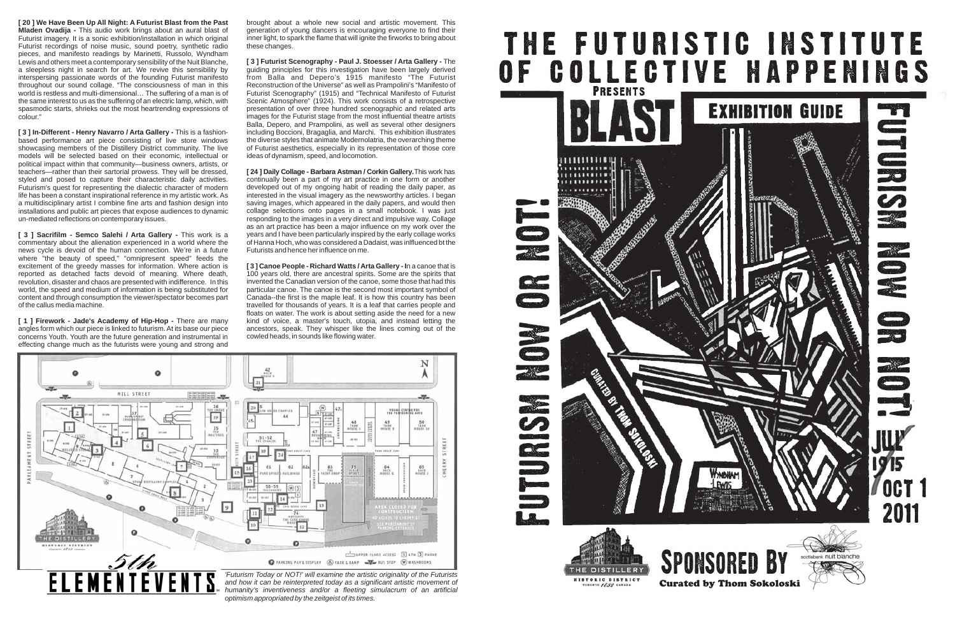**[ 20 ] We Have Been Up All Night: A Futurist Blast from the Past Mladen Ovadija -** This audio work brings about an aural blast of Futurist imagery. It is a sonic exhibition/installation in which original Futurist recordings of noise music, sound poetry, synthetic radio pieces, and manifesto readings by Marinetti, Russolo, Wyndham Lewis and others meet a contemporary sensibility of the Nuit Blanche, a sleepless night in search for art. We revive this sensibility by interspersing passionate words of the founding Futurist manifesto throughout our sound collage. "The consciousness of man in this world is restless and multi-dimensional… The suffering of a man is of the same interest to us as the suffering of an electric lamp, which, with spasmodic starts, shrieks out the most heartrending expressions of colour."

**[ 3 ] In-Different - Henry Navarro / Arta Gallery -** This is a fashionbased performance art piece consisting of live store windows showcasing members of the Distillery District community. The live models will be selected based on their economic, intellectual or political impact within that community—business owners, artists, or teachers—rather than their sartorial prowess. They will be dressed, styled and posed to capture their characteristic daily activities. Futurism's quest for representing the dialectic character of modern life has been a constant inspirational reference in my artistic work. As a multidisciplinary artist I combine fine arts and fashion design into installations and public art pieces that expose audiences to dynamic un-mediated reflections on contemporary issues.

**[ 3 ] Sacrifilm - Semco Salehi / Arta Gallery -** This work is a commentary about the alienation experienced in a world where the news cycle is devoid of the human connection. We're in a future where "the beauty of speed," "omnipresent speed" feeds the excitement of the greedy masses for information. Where action is reported as detached facts devoid of meaning. Where death, revolution, disaster and chaos are presented with indifference. In this world, the speed and medium of information is being substituted for content and through consumption the viewer/spectator becomes part of the callus media machine.

**[ 1 ] Firework - Jade's Academy of Hip-Hop -** There are many angles form which our piece is linked to futurism. At its base our piece concerns Youth. Youth are the future generation and instrumental in effecting change much as the futurists were young and strong and brought about a whole new social and artistic movement. This generation of young dancers is encouraging everyone to find their inner light, to spark the flame that will ignite the firworks to bring about these changes.

**[ 3 ] Futurist Scenography - Paul J. Stoesser / Arta Gallery -** The guiding principles for this investigation have been largely derived from Balla and Depero's 1915 manifesto "The Futurist Reconstruction of the Universe" as well as Prampolini's "Manifesto of Futurist Scenography" (1915) and "Technical Manifesto of Futurist Scenic Atmosphere" (1924). This work consists of a retrospective presentation of over three hundred scenographic and related arts images for the Futurist stage from the most influential theatre artists Balla, Depero, and Prampolini, as well as several other designers including Boccioni, Bragaglia, and Marchi. This exhibition illustrates the diverse styles that animate Modernolatria, the overarching theme of Futurist aesthetics, especially in its representation of those core ideas of dynamism, speed, and locomotion.

**[ 24 ] Daily Collage - Barbara Astman / Corkin Gallery.** This work has continually been a part of my art practice in one form or another developed out of my ongoing habit of reading the daily paper, as interested in the visual imagery as the newsworthy articles. I began saving images, which appeared in the daily papers, and would then collage selections onto pages in a small notebook. I was just responding to the images in a very direct and impulsive way. Collage as an art practice has been a major influence on my work over the years and I have been particularly inspired by the early collage works of Hanna Hoch, who was considered a Dadaist, was inlfluenced bt the Futurists and hence her influence on me.

**[ 3 ] Canoe People - Richard Watts / Arta Gallery - I**n a canoe that is 100 years old, there are ancestral spirits. Some are the spirits that invented the Canadian version of the canoe, some those that had this particular canoe. The canoe is the second most important symbol of Canada--the first is the maple leaf. It is how this country has been travelled for thousands of years. It is a leaf that carries people and floats on water. The work is about setting aside the need for a new kind of voice, a master's touch, utopia, and instead letting the ancestors, speak. They whisper like the lines coming out of the cowled heads, in sounds like flowing water.